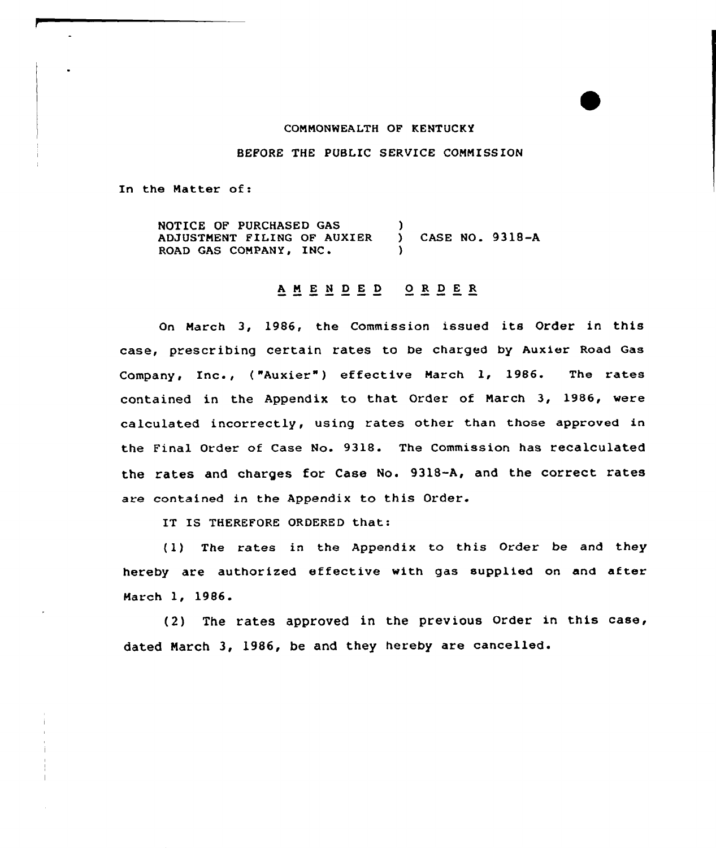#### COMMONWEALTH OF KENTUCKY

BEFORE THE PUBLIC SERVICE COMMISSION

In the Matter of:

NOTICE OF PURCHASED GAS ADJUSTMENT FILING OF AUXIER (CASE NO. 9318-A<br>ROAD GAS COMPANY, INC. (20) )

# <sup>A</sup> <sup>M</sup> E <sup>N</sup> <sup>D</sup> E <sup>D</sup> 0 <sup>R</sup> <sup>D</sup> E R

On March 3, 1986, the Commission issued its Order in this case, prescribing certain rates to be charged by Auxier Road Gas Company, Inc., ("Auxier") effective March 1, 1986. The rates contained in the Appendix to that Order of March 3, 1986, were calculated incorrectly, using rates other than those approved in the Final Order of Case No. 9318. The Commission has recalculated the rates and charges for Case No. 9318-A, and the correct rates are contained in the Appendix to this Order.

IT IS THEREFORE ORDERED that:

(1) The rates in the Appendix to this Order be and they hereby are authorized effective with gas supplied on and after March 1, 1986.

(2) The rates approved in the previous Order in this case, dated March 3, 1986, be and they hereby are cancelled.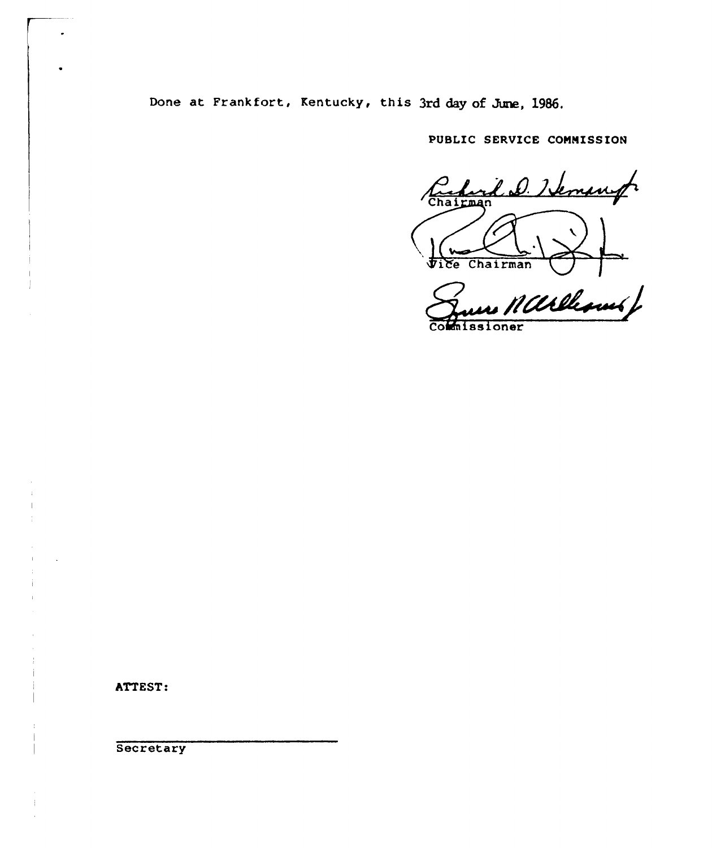Done at Frankfort, Kentucky, this 3rd day of June, 1986.

PUBLIC SERVICE COMMISSION

Carlord D. Hemanger Chairman  $\sqrt{2}$ 

no Marleswerf

missioner

ATTEST:

Secretary